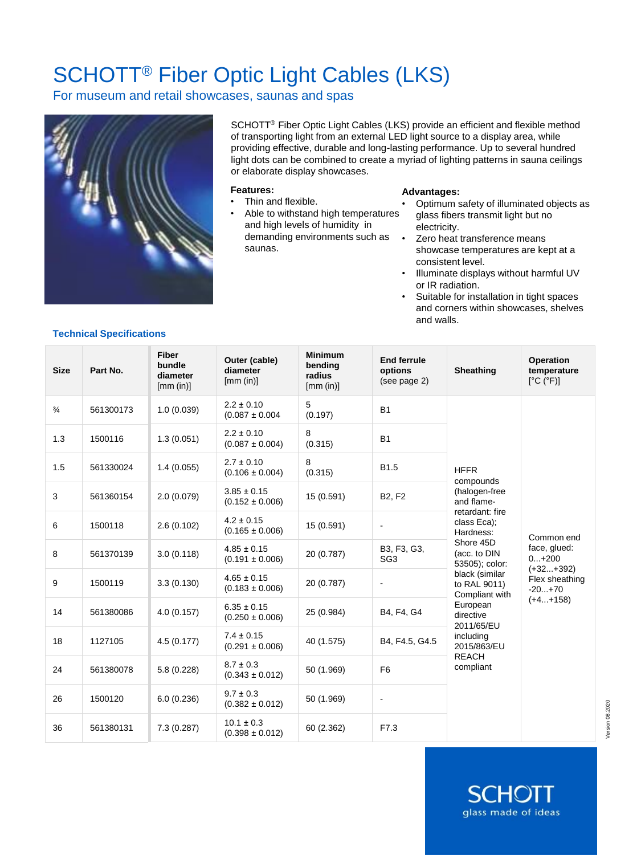# SCHOTT® Fiber Optic Light Cables (LKS)

For museum and retail showcases, saunas and spas



SCHOTT® Fiber Optic Light Cables (LKS) provide an efficient and flexible method of transporting light from an external LED light source to a display area, while providing effective, durable and long-lasting performance. Up to several hundred light dots can be combined to create a myriad of lighting patterns in sauna ceilings or elaborate display showcases.

#### **Features:**

- Thin and flexible.
- Able to withstand high temperatures and high levels of humidity in demanding environments such as saunas.

#### **Advantages:**

- Optimum safety of illuminated objects as glass fibers transmit light but no electricity.
- Zero heat transference means showcase temperatures are kept at a consistent level.
- Illuminate displays without harmful UV or IR radiation.
- Suitable for installation in tight spaces and corners within showcases, shelves and walls.

SCHO

glass made of ideas

### **Technical Specifications**

| <b>Size</b>   | Part No.  | <b>Fiber</b><br>bundle<br>diameter<br>[mm (in)] | Outer (cable)<br>diameter<br>[mm (in)] | <b>Minimum</b><br>bending<br>radius<br>[mm (in)] | <b>End ferrule</b><br>options<br>(see page 2) | Sheathing                                                                                                                                                                                                                                                                                                 | Operation<br>temperature<br>[°C (°F)]                                                            |
|---------------|-----------|-------------------------------------------------|----------------------------------------|--------------------------------------------------|-----------------------------------------------|-----------------------------------------------------------------------------------------------------------------------------------------------------------------------------------------------------------------------------------------------------------------------------------------------------------|--------------------------------------------------------------------------------------------------|
| $\frac{3}{4}$ | 561300173 | 1.0(0.039)                                      | $2.2 \pm 0.10$<br>$(0.087 \pm 0.004$   | 5<br>(0.197)                                     | <b>B1</b>                                     | <b>HFFR</b><br>compounds<br>(halogen-free<br>and flame-<br>retardant: fire<br>class Eca);<br>Hardness:<br>Shore 45D<br>(acc. to DIN<br>53505); color:<br>black (similar<br>to RAL 9011)<br>Compliant with<br>European<br>directive<br>2011/65/EU<br>including<br>2015/863/EU<br><b>REACH</b><br>compliant | Common end<br>face, glued:<br>$0+200$<br>$(+32+392)$<br>Flex sheathing<br>$-20+70$<br>$(+4+158)$ |
| 1.3           | 1500116   | 1.3(0.051)                                      | $2.2 \pm 0.10$<br>$(0.087 \pm 0.004)$  | 8<br>(0.315)                                     | <b>B1</b>                                     |                                                                                                                                                                                                                                                                                                           |                                                                                                  |
| 1.5           | 561330024 | 1.4(0.055)                                      | $2.7 \pm 0.10$<br>$(0.106 \pm 0.004)$  | 8<br>(0.315)                                     | B <sub>1.5</sub>                              |                                                                                                                                                                                                                                                                                                           |                                                                                                  |
| 3             | 561360154 | 2.0(0.079)                                      | $3.85 \pm 0.15$<br>$(0.152 \pm 0.006)$ | 15 (0.591)                                       | <b>B2, F2</b>                                 |                                                                                                                                                                                                                                                                                                           |                                                                                                  |
| 6             | 1500118   | 2.6(0.102)                                      | $4.2 \pm 0.15$<br>$(0.165 \pm 0.006)$  | 15 (0.591)                                       |                                               |                                                                                                                                                                                                                                                                                                           |                                                                                                  |
| 8             | 561370139 | 3.0(0.118)                                      | $4.85 \pm 0.15$<br>$(0.191 \pm 0.006)$ | 20 (0.787)                                       | B3, F3, G3,<br>SG <sub>3</sub>                |                                                                                                                                                                                                                                                                                                           |                                                                                                  |
| 9             | 1500119   | 3.3(0.130)                                      | $4.65 \pm 0.15$<br>$(0.183 \pm 0.006)$ | 20 (0.787)                                       |                                               |                                                                                                                                                                                                                                                                                                           |                                                                                                  |
| 14            | 561380086 | 4.0(0.157)                                      | $6.35 \pm 0.15$<br>$(0.250 \pm 0.006)$ | 25 (0.984)                                       | B4, F4, G4                                    |                                                                                                                                                                                                                                                                                                           |                                                                                                  |
| 18            | 1127105   | 4.5(0.177)                                      | $7.4 \pm 0.15$<br>$(0.291 \pm 0.006)$  | 40 (1.575)                                       | B4, F4.5, G4.5                                |                                                                                                                                                                                                                                                                                                           |                                                                                                  |
| 24            | 561380078 | 5.8(0.228)                                      | $8.7 \pm 0.3$<br>$(0.343 \pm 0.012)$   | 50 (1.969)                                       | F <sub>6</sub>                                |                                                                                                                                                                                                                                                                                                           |                                                                                                  |
| 26            | 1500120   | 6.0(0.236)                                      | $9.7 \pm 0.3$<br>$(0.382 \pm 0.012)$   | 50 (1.969)                                       | $\blacksquare$                                |                                                                                                                                                                                                                                                                                                           |                                                                                                  |
| 36            | 561380131 | 7.3(0.287)                                      | $10.1 \pm 0.3$<br>$(0.398 \pm 0.012)$  | 60 (2.362)                                       | F7.3                                          |                                                                                                                                                                                                                                                                                                           |                                                                                                  |